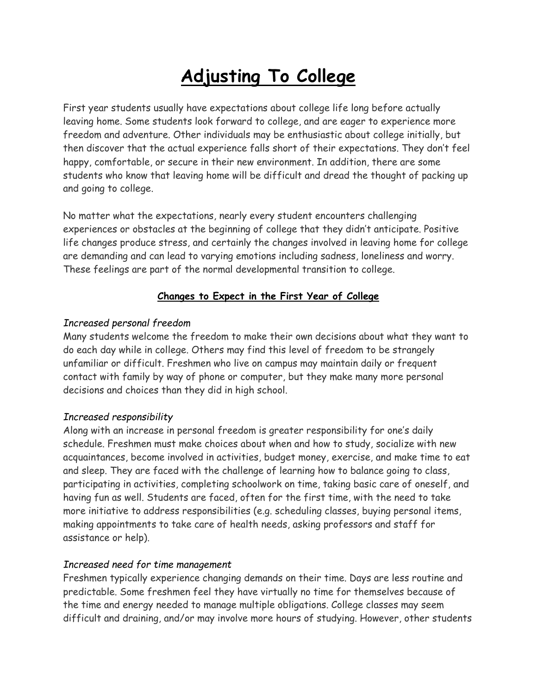# **Adjusting To College**

First year students usually have expectations about college life long before actually leaving home. Some students look forward to college, and are eager to experience more freedom and adventure. Other individuals may be enthusiastic about college initially, but then discover that the actual experience falls short of their expectations. They don't feel happy, comfortable, or secure in their new environment. In addition, there are some students who know that leaving home will be difficult and dread the thought of packing up and going to college.

No matter what the expectations, nearly every student encounters challenging experiences or obstacles at the beginning of college that they didn't anticipate. Positive life changes produce stress, and certainly the changes involved in leaving home for college are demanding and can lead to varying emotions including sadness, loneliness and worry. These feelings are part of the normal developmental transition to college.

## **Changes to Expect in the First Year of College**

#### *Increased personal freedom*

Many students welcome the freedom to make their own decisions about what they want to do each day while in college. Others may find this level of freedom to be strangely unfamiliar or difficult. Freshmen who live on campus may maintain daily or frequent contact with family by way of phone or computer, but they make many more personal decisions and choices than they did in high school.

#### *Increased responsibility*

Along with an increase in personal freedom is greater responsibility for one's daily schedule. Freshmen must make choices about when and how to study, socialize with new acquaintances, become involved in activities, budget money, exercise, and make time to eat and sleep. They are faced with the challenge of learning how to balance going to class, participating in activities, completing schoolwork on time, taking basic care of oneself, and having fun as well. Students are faced, often for the first time, with the need to take more initiative to address responsibilities (e.g. scheduling classes, buying personal items, making appointments to take care of health needs, asking professors and staff for assistance or help).

#### *Increased need for time management*

Freshmen typically experience changing demands on their time. Days are less routine and predictable. Some freshmen feel they have virtually no time for themselves because of the time and energy needed to manage multiple obligations. College classes may seem difficult and draining, and/or may involve more hours of studying. However, other students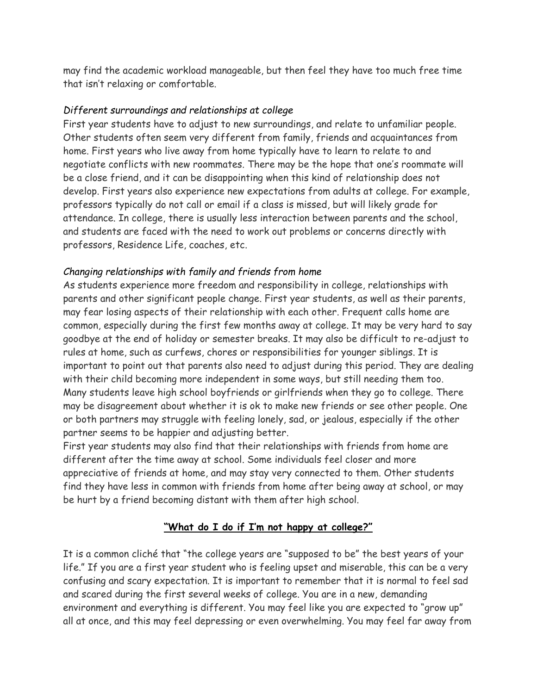may find the academic workload manageable, but then feel they have too much free time that isn't relaxing or comfortable.

### *Different surroundings and relationships at college*

First year students have to adjust to new surroundings, and relate to unfamiliar people. Other students often seem very different from family, friends and acquaintances from home. First years who live away from home typically have to learn to relate to and negotiate conflicts with new roommates. There may be the hope that one's roommate will be a close friend, and it can be disappointing when this kind of relationship does not develop. First years also experience new expectations from adults at college. For example, professors typically do not call or email if a class is missed, but will likely grade for attendance. In college, there is usually less interaction between parents and the school, and students are faced with the need to work out problems or concerns directly with professors, Residence Life, coaches, etc.

## *Changing relationships with family and friends from home*

As students experience more freedom and responsibility in college, relationships with parents and other significant people change. First year students, as well as their parents, may fear losing aspects of their relationship with each other. Frequent calls home are common, especially during the first few months away at college. It may be very hard to say goodbye at the end of holiday or semester breaks. It may also be difficult to re-adjust to rules at home, such as curfews, chores or responsibilities for younger siblings. It is important to point out that parents also need to adjust during this period. They are dealing with their child becoming more independent in some ways, but still needing them too. Many students leave high school boyfriends or girlfriends when they go to college. There may be disagreement about whether it is ok to make new friends or see other people. One or both partners may struggle with feeling lonely, sad, or jealous, especially if the other partner seems to be happier and adjusting better.

First year students may also find that their relationships with friends from home are different after the time away at school. Some individuals feel closer and more appreciative of friends at home, and may stay very connected to them. Other students find they have less in common with friends from home after being away at school, or may be hurt by a friend becoming distant with them after high school.

# **"What do I do if I'm not happy at college?"**

It is a common cliché that "the college years are "supposed to be" the best years of your life." If you are a first year student who is feeling upset and miserable, this can be a very confusing and scary expectation. It is important to remember that it is normal to feel sad and scared during the first several weeks of college. You are in a new, demanding environment and everything is different. You may feel like you are expected to "grow up" all at once, and this may feel depressing or even overwhelming. You may feel far away from